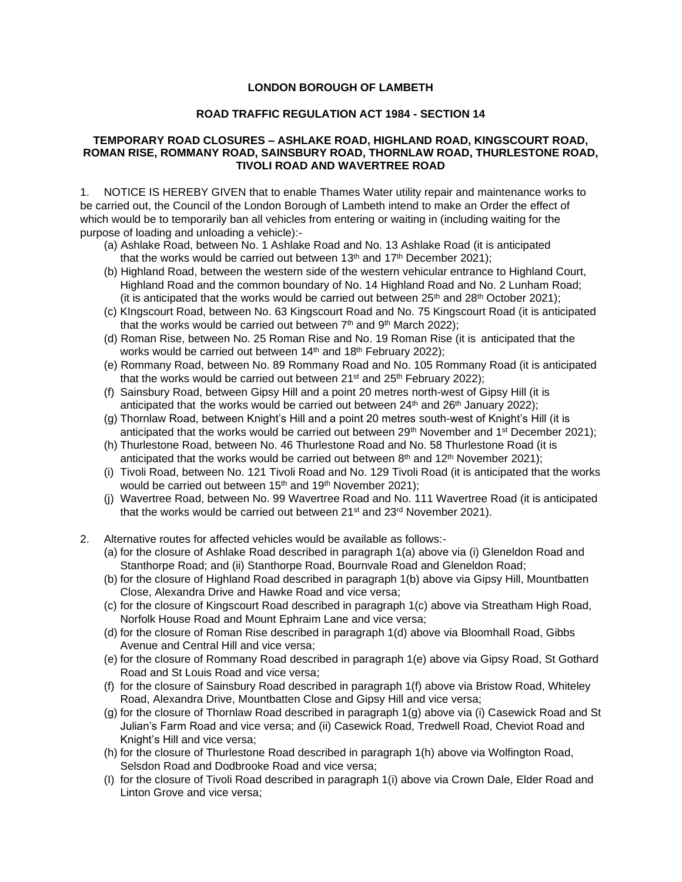## **LONDON BOROUGH OF LAMBETH**

## **ROAD TRAFFIC REGULATION ACT 1984 - SECTION 14**

## **TEMPORARY ROAD CLOSURES – ASHLAKE ROAD, HIGHLAND ROAD, KINGSCOURT ROAD, ROMAN RISE, ROMMANY ROAD, SAINSBURY ROAD, THORNLAW ROAD, THURLESTONE ROAD, TIVOLI ROAD AND WAVERTREE ROAD**

1. NOTICE IS HEREBY GIVEN that to enable Thames Water utility repair and maintenance works to be carried out, the Council of the London Borough of Lambeth intend to make an Order the effect of which would be to temporarily ban all vehicles from entering or waiting in (including waiting for the purpose of loading and unloading a vehicle):-

- (a) Ashlake Road, between No. 1 Ashlake Road and No. 13 Ashlake Road (it is anticipated that the works would be carried out between 13<sup>th</sup> and 17<sup>th</sup> December 2021);
- (b) Highland Road, between the western side of the western vehicular entrance to Highland Court, Highland Road and the common boundary of No. 14 Highland Road and No. 2 Lunham Road; (it is anticipated that the works would be carried out between  $25<sup>th</sup>$  and  $28<sup>th</sup>$  October 2021);
- (c) KIngscourt Road, between No. 63 Kingscourt Road and No. 75 Kingscourt Road (it is anticipated that the works would be carried out between  $7<sup>th</sup>$  and  $9<sup>th</sup>$  March 2022);
- (d) Roman Rise, between No. 25 Roman Rise and No. 19 Roman Rise (it is anticipated that the works would be carried out between 14<sup>th</sup> and 18<sup>th</sup> February 2022);
- (e) Rommany Road, between No. 89 Rommany Road and No. 105 Rommany Road (it is anticipated that the works would be carried out between  $21^{st}$  and  $25^{th}$  February 2022);
- (f) Sainsbury Road, between Gipsy Hill and a point 20 metres north-west of Gipsy Hill (it is anticipated that the works would be carried out between  $24<sup>th</sup>$  and  $26<sup>th</sup>$  January 2022);
- (g) Thornlaw Road, between Knight's Hill and a point 20 metres south-west of Knight's Hill (it is anticipated that the works would be carried out between  $29<sup>th</sup>$  November and 1<sup>st</sup> December 2021);
- (h) Thurlestone Road, between No. 46 Thurlestone Road and No. 58 Thurlestone Road (it is anticipated that the works would be carried out between  $8<sup>th</sup>$  and 12<sup>th</sup> November 2021);
- (i) Tivoli Road, between No. 121 Tivoli Road and No. 129 Tivoli Road (it is anticipated that the works would be carried out between  $15<sup>th</sup>$  and  $19<sup>th</sup>$  November 2021);
- (j) Wavertree Road, between No. 99 Wavertree Road and No. 111 Wavertree Road (it is anticipated that the works would be carried out between 21<sup>st</sup> and 23<sup>rd</sup> November 2021).
- 2. Alternative routes for affected vehicles would be available as follows:-
	- (a) for the closure of Ashlake Road described in paragraph 1(a) above via (i) Gleneldon Road and Stanthorpe Road; and (ii) Stanthorpe Road, Bournvale Road and Gleneldon Road;
	- (b) for the closure of Highland Road described in paragraph 1(b) above via Gipsy Hill, Mountbatten Close, Alexandra Drive and Hawke Road and vice versa;
	- (c) for the closure of Kingscourt Road described in paragraph 1(c) above via Streatham High Road, Norfolk House Road and Mount Ephraim Lane and vice versa;
	- (d) for the closure of Roman Rise described in paragraph 1(d) above via Bloomhall Road, Gibbs Avenue and Central Hill and vice versa;
	- (e) for the closure of Rommany Road described in paragraph 1(e) above via Gipsy Road, St Gothard Road and St Louis Road and vice versa;
	- (f) for the closure of Sainsbury Road described in paragraph 1(f) above via Bristow Road, Whiteley Road, Alexandra Drive, Mountbatten Close and Gipsy Hill and vice versa;
	- (g) for the closure of Thornlaw Road described in paragraph 1(g) above via (i) Casewick Road and St Julian's Farm Road and vice versa; and (ii) Casewick Road, Tredwell Road, Cheviot Road and Knight's Hill and vice versa;
	- (h) for the closure of Thurlestone Road described in paragraph 1(h) above via Wolfington Road, Selsdon Road and Dodbrooke Road and vice versa;
	- (I) for the closure of Tivoli Road described in paragraph 1(i) above via Crown Dale, Elder Road and Linton Grove and vice versa;